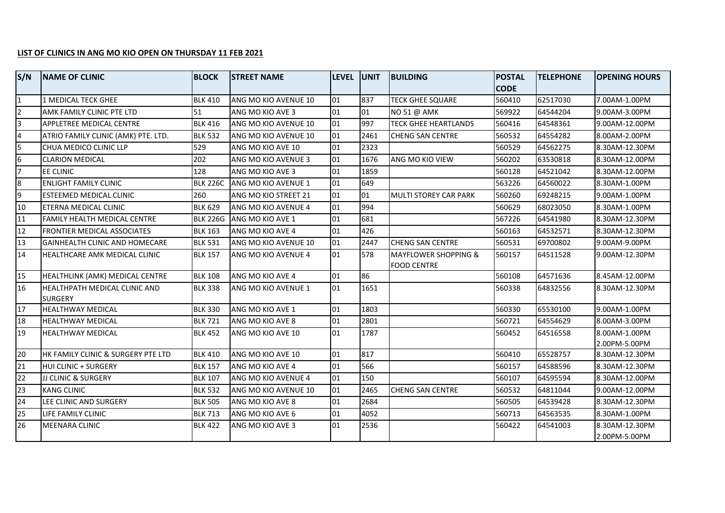## **LIST OF CLINICS IN ANG MO KIO OPEN ON THURSDAY 11 FEB 2021**

| S/N            | <b>NAME OF CLINIC</b>                                  | <b>BLOCK</b>    | <b>STREET NAME</b>   | LEVEL UNIT |      | <b>BUILDING</b>                 | <b>POSTAL</b> | <b>TELEPHONE</b> | <b>OPENING HOURS</b> |
|----------------|--------------------------------------------------------|-----------------|----------------------|------------|------|---------------------------------|---------------|------------------|----------------------|
|                |                                                        |                 |                      |            |      |                                 | <b>CODE</b>   |                  |                      |
| $\overline{1}$ | 1 MEDICAL TECK GHEE                                    | <b>BLK 410</b>  | ANG MO KIO AVENUE 10 | 01         | 837  | <b>TECK GHEE SQUARE</b>         | 560410        | 62517030         | 7.00AM-1.00PM        |
| $\overline{2}$ | AMK FAMILY CLINIC PTE LTD                              | 51              | ANG MO KIO AVE 3     | 01         | 01   | NO 51 @ AMK                     | 569922        | 64544204         | 9.00AM-3.00PM        |
| $\overline{3}$ | <b>APPLETREE MEDICAL CENTRE</b>                        | <b>BLK 416</b>  | ANG MO KIO AVENUE 10 | 01         | 997  | <b>TECK GHEE HEARTLANDS</b>     | 560416        | 64548361         | 9.00AM-12.00PM       |
| 4              | ATRIO FAMILY CLINIC (AMK) PTE. LTD.                    | <b>BLK 532</b>  | ANG MO KIO AVENUE 10 | 01         | 2461 | <b>CHENG SAN CENTRE</b>         | 560532        | 64554282         | 8.00AM-2.00PM        |
| 5              | CHUA MEDICO CLINIC LLP                                 | 529             | ANG MO KIO AVE 10    | 01         | 2323 |                                 | 560529        | 64562275         | 8.30AM-12.30PM       |
| 6              | <b>CLARION MEDICAL</b>                                 | 202             | ANG MO KIO AVENUE 3  | 01         | 1676 | ANG MO KIO VIEW                 | 560202        | 63530818         | 8.30AM-12.00PM       |
| 17             | EE CLINIC                                              | 128             | ANG MO KIO AVE 3     | 01         | 1859 |                                 | 560128        | 64521042         | 8.30AM-12.00PM       |
| 8              | <b>ENLIGHT FAMILY CLINIC</b>                           | <b>BLK 226C</b> | ANG MO KIO AVENUE 1  | 01         | 649  |                                 | 563226        | 64560022         | 8.30AM-1.00PM        |
| $\overline{9}$ | ESTEEMED MEDICAL CLINIC                                | 260             | ANG MO KIO STREET 21 | 01         | 01   | MULTI STOREY CAR PARK           | 560260        | 69248215         | 9.00AM-1.00PM        |
| 10             | ETERNA MEDICAL CLINIC                                  | <b>BLK 629</b>  | ANG MO KIO AVENUE 4  | 01         | 994  |                                 | 560629        | 68023050         | 8.30AM-1.00PM        |
| 11             | <b>FAMILY HEALTH MEDICAL CENTRE</b>                    | <b>BLK 226G</b> | ANG MO KIO AVE 1     | 01         | 681  |                                 | 567226        | 64541980         | 8.30AM-12.30PM       |
| 12             | <b>FRONTIER MEDICAL ASSOCIATES</b>                     | <b>BLK 163</b>  | ANG MO KIO AVE 4     | 01         | 426  |                                 | 560163        | 64532571         | 8.30AM-12.30PM       |
| 13             | <b>GAINHEALTH CLINIC AND HOMECARE</b>                  | <b>BLK 531</b>  | ANG MO KIO AVENUE 10 | 01         | 2447 | <b>CHENG SAN CENTRE</b>         | 560531        | 69700802         | 9.00AM-9.00PM        |
| 14             | <b>HEALTHCARE AMK MEDICAL CLINIC</b>                   | <b>BLK 157</b>  | ANG MO KIO AVENUE 4  | 01         | 578  | <b>MAYFLOWER SHOPPING &amp;</b> | 560157        | 64511528         | 9.00AM-12.30PM       |
|                |                                                        |                 |                      |            |      | <b>FOOD CENTRE</b>              |               |                  |                      |
| 15             | HEALTHLINK (AMK) MEDICAL CENTRE                        | <b>BLK 108</b>  | ANG MO KIO AVE 4     | 01         | 86   |                                 | 560108        | 64571636         | 8.45AM-12.00PM       |
| 16             | <b>HEALTHPATH MEDICAL CLINIC AND</b><br><b>SURGERY</b> | <b>BLK 338</b>  | ANG MO KIO AVENUE 1  | 01         | 1651 |                                 | 560338        | 64832556         | 8.30AM-12.30PM       |
| 17             | <b>HEALTHWAY MEDICAL</b>                               | <b>BLK 330</b>  | ANG MO KIO AVE 1     | 01         | 1803 |                                 | 560330        | 65530100         | 9.00AM-1.00PM        |
| 18             | <b>HEALTHWAY MEDICAL</b>                               | <b>BLK 721</b>  | ANG MO KIO AVE 8     | 01         | 2801 |                                 | 560721        | 64554629         | 8.00AM-3.00PM        |
| 19             | <b>HEALTHWAY MEDICAL</b>                               | <b>BLK 452</b>  | ANG MO KIO AVE 10    | 01         | 1787 |                                 | 560452        | 64516558         | 8.00AM-1.00PM        |
|                |                                                        |                 |                      |            |      |                                 |               |                  | 2.00PM-5.00PM        |
| 20             | <b>HK FAMILY CLINIC &amp; SURGERY PTE LTD</b>          | <b>BLK 410</b>  | ANG MO KIO AVE 10    | 01         | 817  |                                 | 560410        | 65528757         | 8.30AM-12.30PM       |
| 21             | <b>HUI CLINIC + SURGERY</b>                            | <b>BLK 157</b>  | ANG MO KIO AVE 4     | 01         | 566  |                                 | 560157        | 64588596         | 8.30AM-12.30PM       |
| 22             | <b>JJ CLINIC &amp; SURGERY</b>                         | <b>BLK 107</b>  | ANG MO KIO AVENUE 4  | 01         | 150  |                                 | 560107        | 64595594         | 8.30AM-12.00PM       |
| 23             | <b>KANG CLINIC</b>                                     | <b>BLK 532</b>  | ANG MO KIO AVENUE 10 | 01         | 2465 | <b>CHENG SAN CENTRE</b>         | 560532        | 64811044         | 9.00AM-12.00PM       |
| 24             | LEE CLINIC AND SURGERY                                 | <b>BLK 505</b>  | ANG MO KIO AVE 8     | 01         | 2684 |                                 | 560505        | 64539428         | 8.30AM-12.30PM       |
| 25             | LIFE FAMILY CLINIC                                     | <b>BLK 713</b>  | ANG MO KIO AVE 6     | 01         | 4052 |                                 | 560713        | 64563535         | 8.30AM-1.00PM        |
| 26             | <b>MEENARA CLINIC</b>                                  | <b>BLK 422</b>  | ANG MO KIO AVE 3     | 01         | 2536 |                                 | 560422        | 64541003         | 8.30AM-12.30PM       |
|                |                                                        |                 |                      |            |      |                                 |               |                  | 2.00PM-5.00PM        |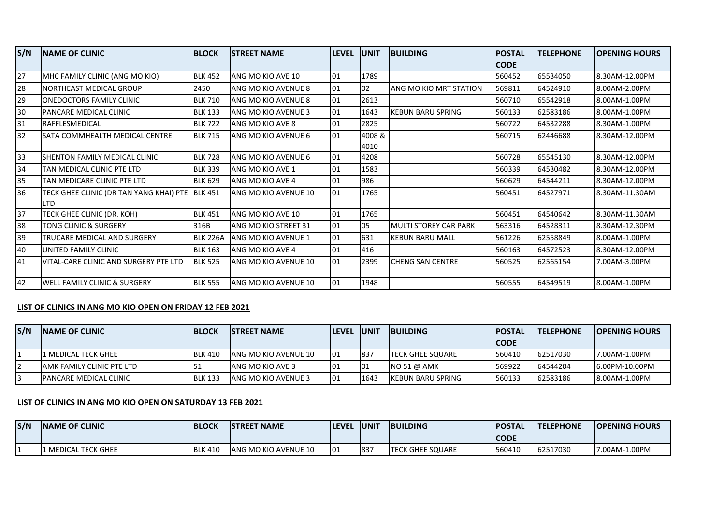| S/N | <b>INAME OF CLINIC</b>                                         | <b>BLOCK</b>    | <b>ISTREET NAME</b>  | <b>ILEVEL</b>    | <b>IUNIT</b>  | <b>BUILDING</b>              | <b>POSTAL</b> | <b>TELEPHONE</b> | <b>OPENING HOURS</b> |
|-----|----------------------------------------------------------------|-----------------|----------------------|------------------|---------------|------------------------------|---------------|------------------|----------------------|
|     |                                                                |                 |                      |                  |               |                              | <b>CODE</b>   |                  |                      |
| 27  | MHC FAMILY CLINIC (ANG MO KIO)                                 | <b>BLK 452</b>  | ANG MO KIO AVE 10    | 101              | 1789          |                              | 560452        | 65534050         | 8.30AM-12.00PM       |
| 28  | NORTHEAST MEDICAL GROUP                                        | 2450            | ANG MO KIO AVENUE 8  | 101              | 02            | ANG MO KIO MRT STATION       | 569811        | 64524910         | 8.00AM-2.00PM        |
| 29  | IONEDOCTORS FAMILY CLINIC                                      | <b>BLK 710</b>  | ANG MO KIO AVENUE 8  | 101              | 2613          |                              | 560710        | 65542918         | 8.00AM-1.00PM        |
| 30  | PANCARE MEDICAL CLINIC                                         | <b>BLK 133</b>  | ANG MO KIO AVENUE 3  | $\overline{101}$ | 1643          | KEBUN BARU SPRING            | 560133        | 62583186         | 8.00AM-1.00PM        |
| 31  | RAFFLESMEDICAL                                                 | <b>BLK 722</b>  | ANG MO KIO AVE 8     | 101              | 2825          |                              | 560722        | 64532288         | 8.30AM-1.00PM        |
| 32  | ISATA COMMHEALTH MEDICAL CENTRE                                | <b>BLK 715</b>  | ANG MO KIO AVENUE 6  | 101              | 4008&<br>4010 |                              | 560715        | 62446688         | 8.30AM-12.00PM       |
| 33  | SHENTON FAMILY MEDICAL CLINIC                                  | <b>BLK 728</b>  | ANG MO KIO AVENUE 6  | 01               | 4208          |                              | 560728        | 65545130         | 8.30AM-12.00PM       |
| 34  | TAN MEDICAL CLINIC PTE LTD                                     | <b>BLK 339</b>  | ANG MO KIO AVE 1     | 101              | 1583          |                              | 560339        | 64530482         | 8.30AM-12.00PM       |
| 35  | TAN MEDICARE CLINIC PTE LTD                                    | <b>BLK 629</b>  | ANG MO KIO AVE 4     | 101              | 986           |                              | 560629        | 64544211         | 8.30AM-12.00PM       |
| 36  | TECK GHEE CLINIC (DR TAN YANG KHAI) PTE  BLK 451<br><b>LTD</b> |                 | ANG MO KIO AVENUE 10 | 01               | 1765          |                              | 560451        | 64527971         | 8.30AM-11.30AM       |
| 37  | TECK GHEE CLINIC (DR. KOH)                                     | <b>BLK 451</b>  | ANG MO KIO AVE 10    | 101              | 1765          |                              | 560451        | 64540642         | 8.30AM-11.30AM       |
| 38  | TONG CLINIC & SURGERY                                          | 316B            | ANG MO KIO STREET 31 | 01               | 05            | <b>MULTI STOREY CAR PARK</b> | 563316        | 64528311         | 8.30AM-12.30PM       |
| 39  | TRUCARE MEDICAL AND SURGERY                                    | <b>BLK 226A</b> | ANG MO KIO AVENUE 1  | 01               | 631           | <b>KEBUN BARU MALL</b>       | 561226        | 62558849         | 8.00AM-1.00PM        |
| 40  | UNITED FAMILY CLINIC                                           | <b>BLK 163</b>  | ANG MO KIO AVE 4     | 101              | 416           |                              | 560163        | 64572523         | 8.30AM-12.00PM       |
| 41  | VITAL-CARE CLINIC AND SURGERY PTE LTD                          | <b>BLK 525</b>  | ANG MO KIO AVENUE 10 | 101              | 2399          | <b>CHENG SAN CENTRE</b>      | 560525        | 62565154         | 7.00AM-3.00PM        |
| 42  | <b>WELL FAMILY CLINIC &amp; SURGERY</b>                        | <b>BLK 555</b>  | ANG MO KIO AVENUE 10 | 101              | 1948          |                              | 560555        | 64549519         | 8.00AM-1.00PM        |

## **LIST OF CLINICS IN ANG MO KIO OPEN ON FRIDAY 12 FEB 2021**

| S/N | <b>INAME OF CLINIC</b>         | <b>IBLOCK</b>  | <b>ISTREET NAME</b>          | <b>ILEVEL IUNIT</b> |      | <b>IBUILDING</b>         | <b>IPOSTAL</b><br><b>ICODE</b> | <b>ITELEPHONE</b> | <b>IOPENING HOURS</b> |
|-----|--------------------------------|----------------|------------------------------|---------------------|------|--------------------------|--------------------------------|-------------------|-----------------------|
|     | 11 MEDICAL TECK GHEE           | <b>BLK 410</b> | <b>JANG MO KIO AVENUE 10</b> | 101                 | 837  | <b>ITECK GHEE SQUARE</b> | 560410                         | 62517030          | 7.00AM-1.00PM         |
|     | IAMK FAMILY CLINIC PTE LTD     | 51             | ANG MO KIO AVE 3             | 01                  | 01   | NO 51 @ AMK              | 569922                         | 64544204          | 16.00PM-10.00PM       |
|     | <b>IPANCARE MEDICAL CLINIC</b> | <b>BLK 133</b> | <b>JANG MO KIO AVENUE 3</b>  | 101                 | 1643 | IKEBUN BARU SPRING       | 560133                         | 62583186          | 8.00AM-1.00PM         |

## **LIST OF CLINICS IN ANG MO KIO OPEN ON SATURDAY 13 FEB 2021**

| S/N | <b>INAME OF CLINIC</b> | <b>BLOCK</b>   | <b>ISTREET NAME</b>          | <b>ILEVEL</b> | <b>HUNI</b> | <b>BUILDING</b>          | <b>IPOSTAL</b> | <b>ITELEPHONE</b> | <b>IOPENING HOURS</b> |
|-----|------------------------|----------------|------------------------------|---------------|-------------|--------------------------|----------------|-------------------|-----------------------|
|     |                        |                |                              |               |             |                          | <b>CODE</b>    |                   |                       |
|     | l MEDICAL TECK GHEE    | <b>BLK 410</b> | <b>JANG MO KIO AVENUE 10</b> | I01           | 83.         | <b>ITECK GHEE SQUARE</b> | 560410         | 62517030          | 17.00AM-1.00PM        |